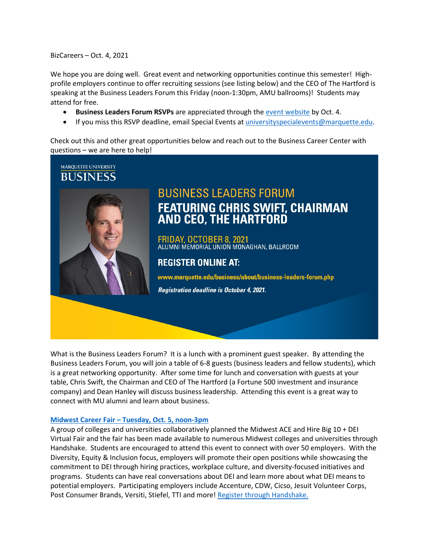BizCareers – Oct. 4, 2021

We hope you are doing well. Great event and networking opportunities continue this semester! Highprofile employers continue to offer recruiting sessions (see listing below) and the CEO of The Hartford is speaking at the Business Leaders Forum this Friday (noon-1:30pm, AMU ballrooms)! Students may attend for free.

- **Business Leaders Forum RSVPs** are appreciated through the [event website](https://alumni.marquette.edu/business-leaders-staff-2021) by Oct. 4.
- If you miss this RSVP deadline, email Special Events a[t universityspecialevents@marquette.edu.](mailto:universityspecialevents@marquette.edu)

Check out this and other great opportunities below and reach out to the Business Career Center with questions – we are here to help!



What is the Business Leaders Forum? It is a lunch with a prominent guest speaker. By attending the Business Leaders Forum, you will join a table of 6-8 guests (business leaders and fellow students), which is a great networking opportunity. After some time for lunch and conversation with guests at your table, Chris Swift, the Chairman and CEO of The Hartford (a Fortune 500 investment and insurance company) and Dean Hanley will discuss business leadership. Attending this event is a great way to connect with MU alumni and learn about business.

#### **[Midwest Career Fair –](https://marquette.joinhandshake.com/career_fairs/27230/student_preview?token=tfVVyjRMzkfWnR4HlgW8XTh-Hv8SGSGGHvxwLDzvp6AHmX5sLbOTQg) Tuesday, Oct. 5, noon-3pm**

A group of colleges and universities collaboratively planned the Midwest ACE and Hire Big 10 + DEI Virtual Fair and the fair has been made available to numerous Midwest colleges and universities through Handshake. Students are encouraged to attend this event to connect with over 50 employers. With the Diversity, Equity & Inclusion focus, employers will promote their open positions while showcasing the commitment to DEI through hiring practices, workplace culture, and diversity-focused initiatives and programs. Students can have real conversations about DEI and learn more about what DEI means to potential employers. Participating employers include Accenture, CDW, Cicso, Jesuit Volunteer Corps, Post Consumer Brands, Versiti, Stiefel, TTI and more! [Register through Handshake.](https://marquette.joinhandshake.com/career_fairs/27230/student_preview?token=tfVVyjRMzkfWnR4HlgW8XTh-Hv8SGSGGHvxwLDzvp6AHmX5sLbOTQg)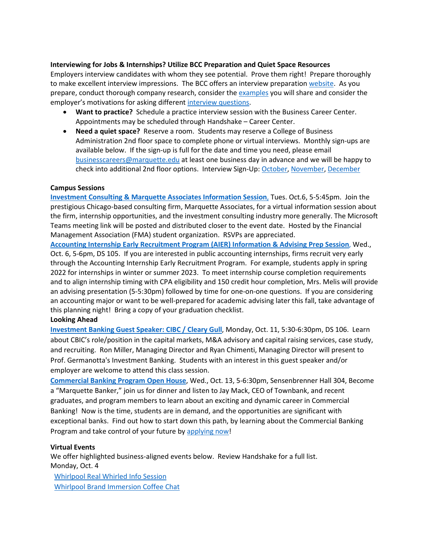### **Interviewing for Jobs & Internships? Utilize BCC Preparation and Quiet Space Resources**

Employers interview candidates with whom they see potential. Prove them right! Prepare thoroughly to make excellent interview impressions. The BCC offers an interview preparation [website.](https://www.marquette.edu/business/career-center/undergrad/interviews.php) As you prepare, conduct thorough company research, consider the [examples](https://www.marquette.edu/business/career-center/documents/Interview_Preparation_Skills_and_STAR.pdf) you will share and consider the employer's motivations for asking different interview [questions.](https://www.marquette.edu/business/career-center/documents/Interview_Preparation_and_Questions.pdf)

- **Want to practice?** Schedule a practice interview session with the Business Career Center. Appointments may be scheduled through Handshake – Career Center.
- **Need a quiet space?** Reserve a room. Students may reserve a College of Business Administration 2nd floor space to complete phone or virtual interviews. Monthly sign-ups are available below. If the sign-up is full for the date and time you need, please email [businesscareers@marquette.edu](mailto:businesscareers@marquette.edu) at least one business day in advance and we will be happy to check into additional 2nd floor options. Interview Sign-Up[: October,](https://www.signupgenius.com/go/10c044fada92ba5f85-room1) [November,](https://www.signupgenius.com/go/10C044FADA92BA5F85-room2) [December](https://www.signupgenius.com/go/10C044FADA92BA5F85-december)

#### **Campus Sessions**

**[Investment Consulting & Marquette Associates Information Session](https://marquette.joinhandshake.com/events/821574/share_preview)**, Tues. Oct.6, 5-5:45pm. Join the prestigious Chicago-based consulting firm, Marquette Associates, for a virtual information session about the firm, internship opportunities, and the investment consulting industry more generally. The Microsoft Teams meeting link will be posted and distributed closer to the event date. Hosted by the Financial Management Association (FMA) student organization. RSVPs are appreciated.

**[Accounting Internship Early Recruitment Program \(AIER\) Information & Advising Prep Session](https://marquette.joinhandshake.com/events/851270/share_preview)**, Wed., Oct. 6, 5-6pm, DS 105. If you are interested in public accounting internships, firms recruit very early through the Accounting Internship Early Recruitment Program. For example, students apply in spring 2022 for internships in winter or summer 2023. To meet internship course completion requirements and to align internship timing with CPA eligibility and 150 credit hour completion, Mrs. Melis will provide an advising presentation (5-5:30pm) followed by time for one-on-one questions. If you are considering an accounting major or want to be well-prepared for academic advising later this fall, take advantage of this planning night! Bring a copy of your graduation checklist.

### **Looking Ahead**

**[Investment Banking Guest Speaker: CIBC / Cleary Gull](https://marquette.joinhandshake.com/events/816415/share_preview)**, Monday, Oct. 11, 5:30-6:30pm, DS 106. Learn about CBIC's role/position in the capital markets, M&A advisory and capital raising services, case study, and recruiting. Ron Miller, Managing Director and Ryan Chimenti, Managing Director will present to Prof. Germanotta's Investment Banking. Students with an interest in this guest speaker and/or employer are welcome to attend this class session.

**[Commercial Banking Program Open House](https://marquette.joinhandshake.com/events/862602/share_preview)**, Wed., Oct. 13, 5-6:30pm, Sensenbrenner Hall 304, Become a "Marquette Banker," join us for dinner and listen to Jay Mack, CEO of Townbank, and recent graduates, and program members to learn about an exciting and dynamic career in Commercial Banking! Now is the time, students are in demand, and the opportunities are significant with exceptional banks. Find out how to start down this path, by learning about the Commercial Banking Program and take control of your future by [applying now!](https://www.marquette.edu/business/banking/application.php)

### **Virtual Events**

We offer highlighted business-aligned events below. Review Handshake for a full list. Monday, Oct. 4

[Whirlpool Real Whirled Info Session](https://marquette.joinhandshake.com/events/855888/share_preview) Whirlpool Brand [Immersion Coffee Chat](https://marquette.joinhandshake.com/events/844915/share_preview)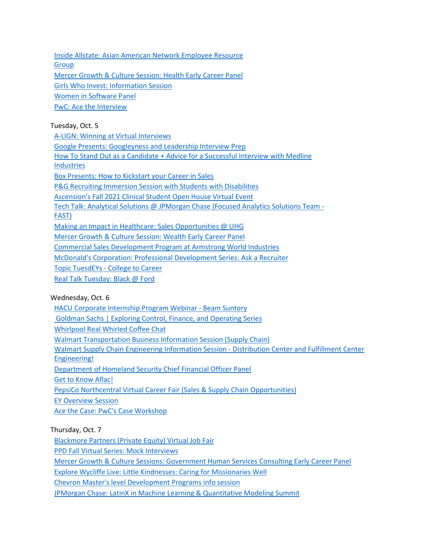[Inside Allstate: Asian American Network Employee Resource](https://marquette.joinhandshake.com/events/844608/share_preview)  **[Group](https://marquette.joinhandshake.com/events/844608/share_preview)** [Mercer Growth & Culture Session: Health Early Career Panel](https://marquette.joinhandshake.com/events/833540/share_preview)  Girls Who [Invest: Information Session](https://marquette.joinhandshake.com/events/831984/share_preview) [Women in Software Panel](https://marquette.joinhandshake.com/events/825085/share_preview) [PwC: Ace the Interview](https://marquette.joinhandshake.com/events/800552/share_preview)

## Tuesday, Oct. 5

[A-LIGN: Winning at Virtual Interviews](https://marquette.joinhandshake.com/events/861850/share_preview) [Google Presents: Googleyness and Leadership Interview Prep](https://marquette.joinhandshake.com/events/860632/share_preview) [How To Stand Out as a Candidate + Advice for a Successful Interview with Medline](https://marquette.joinhandshake.com/events/858805/share_preview)  [Industries](https://marquette.joinhandshake.com/events/858805/share_preview) [Box Presents: How to Kickstart your Career in Sales](https://marquette.joinhandshake.com/events/857482/share_preview) [P&G Recruiting Immersion Session with Students with Disabilities](https://marquette.joinhandshake.com/events/857341/share_preview) [Ascension's Fall 2021 Clinical Student Open House Virtual Event](https://marquette.joinhandshake.com/events/857097/share_preview) [Tech Talk: Analytical Solutions @ JPMorgan Chase \(Focused Analytics Solutions Team -](https://marquette.joinhandshake.com/events/855358/share_preview) [FAST\)](https://marquette.joinhandshake.com/events/855358/share_preview) [Making an Impact in Healthcare: Sales Opportunities @ UHG](https://marquette.joinhandshake.com/events/850121/share_preview) [Mercer Growth & Culture Session: Wealth Early Career Panel](https://marquette.joinhandshake.com/events/833547/share_preview) [Commercial Sales Development Program at Armstrong World Industries](https://marquette.joinhandshake.com/events/822237/share_preview) [McDonald's Corporation: Professional Development Series: Ask a Recruiter](https://marquette.joinhandshake.com/events/816960/share_preview) Topic TuesdEYs - [College to Career](https://marquette.joinhandshake.com/events/805904/share_preview)

[Real Talk Tuesday: Black @ Ford](https://marquette.joinhandshake.com/events/799216/share_preview)

### Wednesday, Oct. 6

[HACU Corporate Internship Program Webinar -](https://marquette.joinhandshake.com/events/860931/share_preview) Beam Suntory

[Goldman Sachs | Exploring Control, Finance, and Operating Series](https://marquette.joinhandshake.com/events/856481/share_preview)

[Whirlpool Real Whirled Coffee Chat](https://marquette.joinhandshake.com/events/855949/share_preview)

[Walmart Transportation Business Information Session \(Supply Chain\)](https://marquette.joinhandshake.com/events/847959/share_preview)

[Walmart Supply Chain Engineering Information Session -](https://marquette.joinhandshake.com/events/840881/share_preview) Distribution Center and Fulfillment Center [Engineering!](https://marquette.joinhandshake.com/events/840881/share_preview)

[Department of Homeland Security Chief Financial Officer Panel](https://marquette.joinhandshake.com/events/835479/share_preview) 

[Get to Know Aflac!](https://marquette.joinhandshake.com/events/831271/share_preview)

[PepsiCo Northcentral Virtual Career Fair \(Sales & Supply Chain Opportunities\)](https://marquette.joinhandshake.com/events/812777/share_preview)

[EY Overview Session](https://marquette.joinhandshake.com/events/805815/share_preview)

[Ace the Case: PwC's Case Workshop](https://marquette.joinhandshake.com/events/800549/share_preview)

# Thursday, Oct. 7

[Blackmore Partners \(Private Equity\) Virtual Job Fair](https://marquette.joinhandshake.com/events/857974/share_preview)

[PPD Fall Virtual Series: Mock Interviews](https://marquette.joinhandshake.com/events/835507/share_preview)

[Mercer Growth & Culture Sessions: Government Human Services Consulting Early Career Panel](https://marquette.joinhandshake.com/events/833562/share_preview)

[Explore Wycliffe Live: Little Kindnesses: Caring for Missionaries Well](https://marquette.joinhandshake.com/events/830368/share_preview)

[Chevron Master's level Development Programs info session](https://marquette.joinhandshake.com/events/812946/share_preview)

[JPMorgan Chase: LatinX in Machine Learning & Quantitative Modeling Summit](https://marquette.joinhandshake.com/events/808220/share_preview)